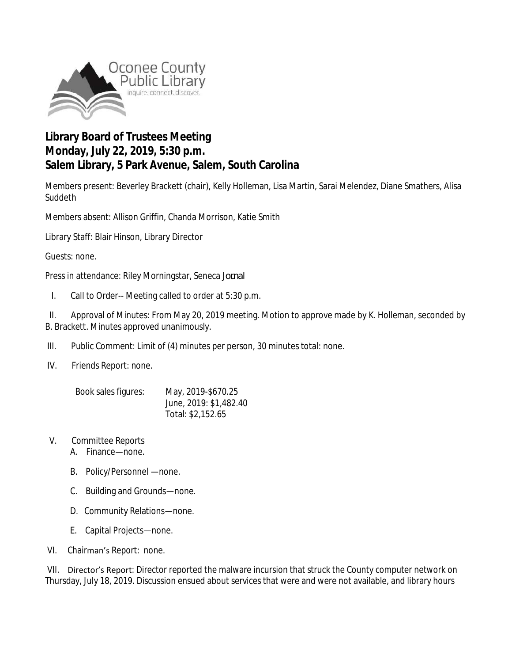

## **Library Board of Trustees Meeting Monday, July 22, 2019, 5:30 p.m. Salem Library, 5 Park Avenue, Salem, South Carolina**

Members present: Beverley Brackett (chair), Kelly Holleman, Lisa Martin, Sarai Melendez, Diane Smathers, Alisa Suddeth

Members absent: Allison Griffin, Chanda Morrison, Katie Smith

Library Staff: Blair Hinson, Library Director

## Guests: none.

Press in attendance: Riley Morningstar, Seneca *Journal*

I. Call to Order-- Meeting called to order at 5:30 p.m.

II. Approval of Minutes: From May 20, 2019 meeting. Motion to approve made by K. Holleman, seconded by B. Brackett. Minutes approved unanimously.

- III. Public Comment: Limit of (4) minutes per person, 30 minutes total: none.
- IV. Friends Report: none.

| Book sales figures: | May, 2019-\$670.25     |
|---------------------|------------------------|
|                     | June, 2019: \$1,482.40 |
|                     | Total: \$2,152.65      |

- V. Committee Reports
	- A. Finance—none.
	- B. Policy/Personnel —none.
	- C. Building and Grounds—none.
	- D. Community Relations—none.
	- E. Capital Projects—none.
- VI. Chairman's Report: none.

VII. Director's Report: Director reported the malware incursion that struck the County computer network on Thursday, July 18, 2019. Discussion ensued about services that were and were not available, and library hours